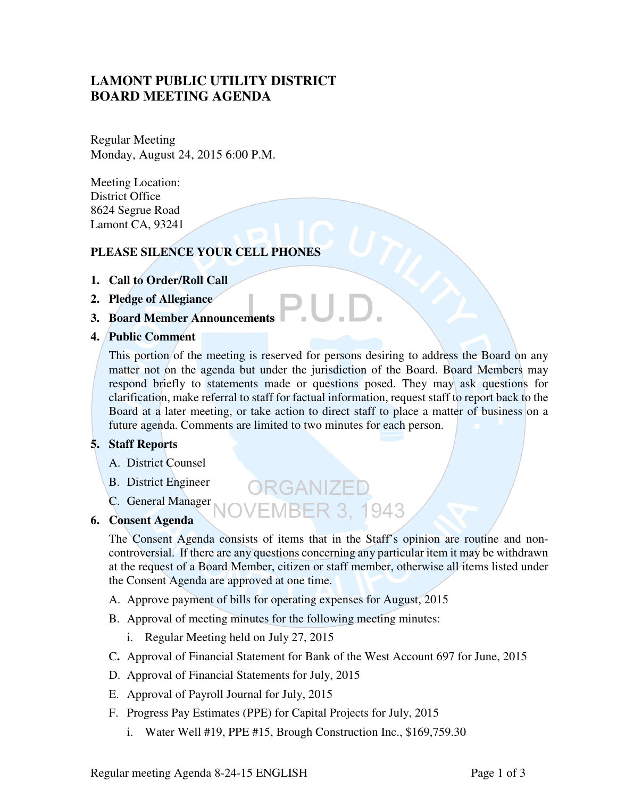# **LAMONT PUBLIC UTILITY DISTRICT BOARD MEETING AGENDA**

Regular Meeting Monday, August 24, 2015 6:00 P.M.

Meeting Location: District Office 8624 Segrue Road Lamont CA, 93241

# **PLEASE SILENCE YOUR CELL PHONES**

- **1. Call to Order/Roll Call**
- **2. Pledge of Allegiance**
- **3. Board Member Announcements**
- **4. Public Comment**

This portion of the meeting is reserved for persons desiring to address the Board on any matter not on the agenda but under the jurisdiction of the Board. Board Members may respond briefly to statements made or questions posed. They may ask questions for clarification, make referral to staff for factual information, request staff to report back to the Board at a later meeting, or take action to direct staff to place a matter of business on a future agenda. Comments are limited to two minutes for each person.

.U.D

## **5. Staff Reports**

- A. District Counsel
- B. District Engineer
- C. General Manager

#### **6. Consent Agenda**

The Consent Agenda consists of items that in the Staff's opinion are routine and noncontroversial. If there are any questions concerning any particular item it may be withdrawn at the request of a Board Member, citizen or staff member, otherwise all items listed under the Consent Agenda are approved at one time.

**VEMBER 3, 1943** 

ORGANIZED

- A. Approve payment of bills for operating expenses for August, 2015
- B. Approval of meeting minutes for the following meeting minutes:
	- i. Regular Meeting held on July 27, 2015
- C**.** Approval of Financial Statement for Bank of the West Account 697 for June, 2015
- D. Approval of Financial Statements for July, 2015
- E. Approval of Payroll Journal for July, 2015
- F. Progress Pay Estimates (PPE) for Capital Projects for July, 2015
	- i. Water Well #19, PPE #15, Brough Construction Inc., \$169,759.30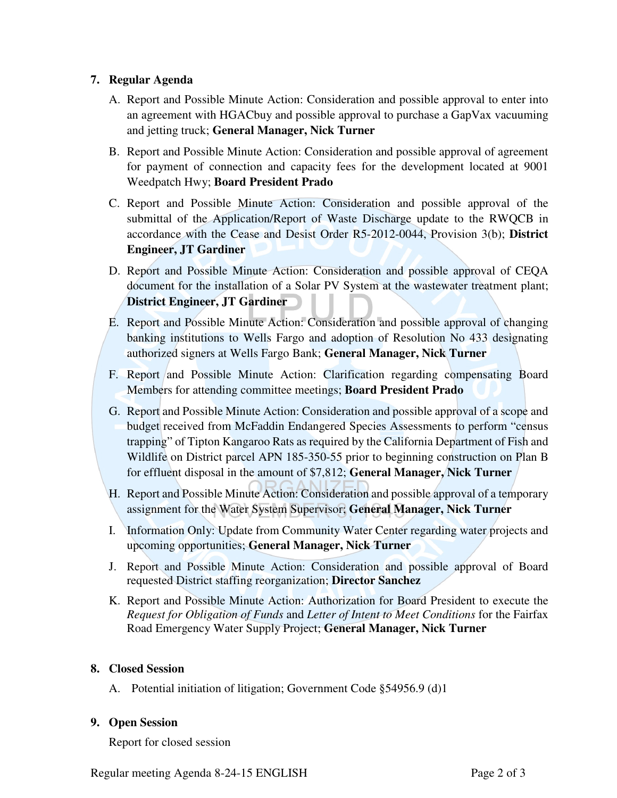#### **7. Regular Agenda**

- A. Report and Possible Minute Action: Consideration and possible approval to enter into an agreement with HGACbuy and possible approval to purchase a GapVax vacuuming and jetting truck; **General Manager, Nick Turner**
- B. Report and Possible Minute Action: Consideration and possible approval of agreement for payment of connection and capacity fees for the development located at 9001 Weedpatch Hwy; **Board President Prado**
- C. Report and Possible Minute Action: Consideration and possible approval of the submittal of the Application/Report of Waste Discharge update to the RWQCB in accordance with the Cease and Desist Order R5-2012-0044, Provision 3(b); **District Engineer, JT Gardiner**
- D. Report and Possible Minute Action: Consideration and possible approval of CEQA document for the installation of a Solar PV System at the wastewater treatment plant; **District Engineer, JT Gardiner**
- E. Report and Possible Minute Action: Consideration and possible approval of changing banking institutions to Wells Fargo and adoption of Resolution No 433 designating authorized signers at Wells Fargo Bank; **General Manager, Nick Turner**
- F. Report and Possible Minute Action: Clarification regarding compensating Board Members for attending committee meetings; **Board President Prado**
- G. Report and Possible Minute Action: Consideration and possible approval of a scope and budget received from McFaddin Endangered Species Assessments to perform "census trapping" of Tipton Kangaroo Rats as required by the California Department of Fish and Wildlife on District parcel APN 185-350-55 prior to beginning construction on Plan B for effluent disposal in the amount of \$7,812; **General Manager, Nick Turner**
- H. Report and Possible Minute Action: Consideration and possible approval of a temporary assignment for the Water System Supervisor; **General Manager, Nick Turner**
- I. Information Only: Update from Community Water Center regarding water projects and upcoming opportunities; **General Manager, Nick Turner**
- J. Report and Possible Minute Action: Consideration and possible approval of Board requested District staffing reorganization; **Director Sanchez**
- K. Report and Possible Minute Action: Authorization for Board President to execute the *Request for Obligation of Funds* and *Letter of Intent to Meet Conditions* for the Fairfax Road Emergency Water Supply Project; **General Manager, Nick Turner**

#### **8. Closed Session**

A. Potential initiation of litigation; Government Code §54956.9 (d)1

## **9. Open Session**

Report for closed session